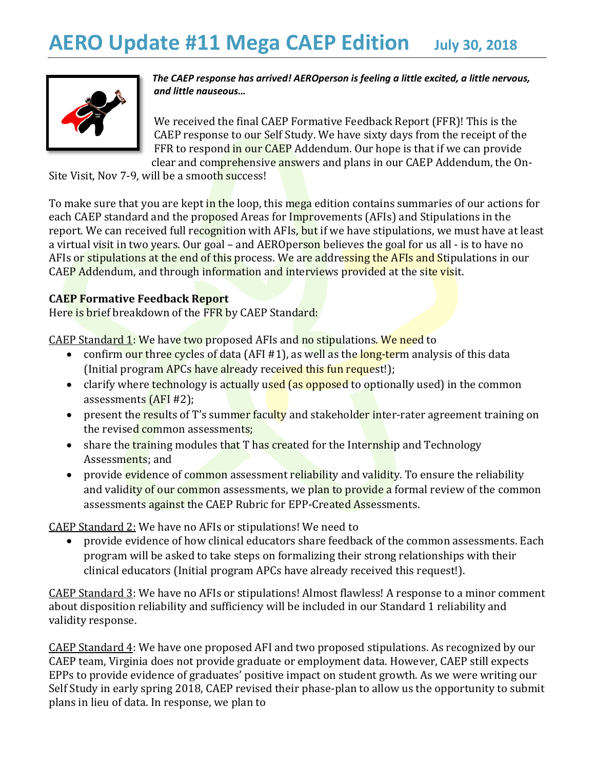

*The CAEP response has arrived! AEROperson is feeling a little excited, a little nervous, and little nauseous…*

We received the final CAEP Formative Feedback Report (FFR)! This is the CAEP response to our Self Study. We have sixty days from the receipt of the FFR to respond in our CAEP Addendum. Our hope is that if we can provide clear and comprehensive answers and plans in our CAEP Addendum, the On-

Site Visit, Nov 7-9, will be a smooth success!

To make sure that you are kept in the loop, this mega edition contains summaries of our actions for each CAEP standard and the proposed Areas for Improvements (AFIs) and Stipulations in the report. We can received full recognition with AFIs, but if we have stipulations, we must have at least a virtual visit in two years. Our goal - and AEROperson believes the goal for us all - is to have no AFIs or stipulations at the end of this process. We are addressing the AFIs and Stipulations in our CAEP Addendum, and through information and interviews provided at the site visit.

## **CAEP Formative Feedback Report**

Here is brief breakdown of the FFR by CAEP Standard:

CAEP Standard 1: We have two proposed AFIs and no stipulations. We need to

- confirm our three cycles of data (AFI #1), as well as the long-term analysis of this data (Initial program APCs have already received this fun request!);
- clarify where technology is actually used (as opposed to optionally used) in the common assessments (AFI #2);
- present the results of T's summer faculty and stakeholder inter-rater agreement training on the revised common assessments;
- share the training modules that T has created for the Internship and Technology Assessments; and
- provide evidence of common assessment reliability and validity. To ensure the reliability and validity of our common assessments, we plan to provide a formal review of the common assessments against the CAEP Rubric for EPP-Created Assessments.

CAEP Standard 2: We have no AFIs or stipulations! We need to

• provide evidence of how clinical educators share feedback of the common assessments. Each program will be asked to take steps on formalizing their strong relationships with their clinical educators (Initial program APCs have already received this request!).

CAEP Standard 3: We have no AFIs or stipulations! Almost flawless! A response to a minor comment about disposition reliability and sufficiency will be included in our Standard 1 reliability and validity response.

CAEP Standard 4: We have one proposed AFI and two proposed stipulations. As recognized by our CAEP team, Virginia does not provide graduate or employment data. However, CAEP still expects EPPs to provide evidence of graduates' positive impact on student growth. As we were writing our Self Study in early spring 2018, CAEP revised their phase-plan to allow us the opportunity to submit plans in lieu of data. In response, we plan to